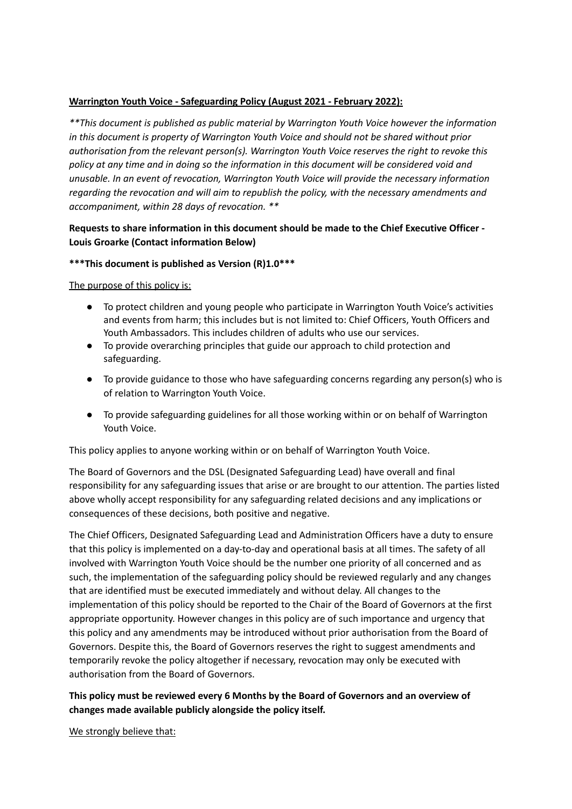## **Warrington Youth Voice - Safeguarding Policy (August 2021 - February 2022):**

*\*\*This document is published as public material by Warrington Youth Voice however the information in this document is property of Warrington Youth Voice and should not be shared without prior authorisation from the relevant person(s). Warrington Youth Voice reserves the right to revoke this policy at any time and in doing so the information in this document will be considered void and unusable. In an event of revocation, Warrington Youth Voice will provide the necessary information regarding the revocation and will aim to republish the policy, with the necessary amendments and accompaniment, within 28 days of revocation. \*\**

# **Requests to share information in this document should be made to the Chief Executive Officer - Louis Groarke (Contact information Below)**

## **\*\*\*This document is published as Version (R)1.0\*\*\***

The purpose of this policy is:

- To protect children and young people who participate in Warrington Youth Voice's activities and events from harm; this includes but is not limited to: Chief Officers, Youth Officers and Youth Ambassadors. This includes children of adults who use our services.
- To provide overarching principles that guide our approach to child protection and safeguarding.
- To provide guidance to those who have safeguarding concerns regarding any person(s) who is of relation to Warrington Youth Voice.
- To provide safeguarding guidelines for all those working within or on behalf of Warrington Youth Voice.

This policy applies to anyone working within or on behalf of Warrington Youth Voice.

The Board of Governors and the DSL (Designated Safeguarding Lead) have overall and final responsibility for any safeguarding issues that arise or are brought to our attention. The parties listed above wholly accept responsibility for any safeguarding related decisions and any implications or consequences of these decisions, both positive and negative.

The Chief Officers, Designated Safeguarding Lead and Administration Officers have a duty to ensure that this policy is implemented on a day-to-day and operational basis at all times. The safety of all involved with Warrington Youth Voice should be the number one priority of all concerned and as such, the implementation of the safeguarding policy should be reviewed regularly and any changes that are identified must be executed immediately and without delay. All changes to the implementation of this policy should be reported to the Chair of the Board of Governors at the first appropriate opportunity. However changes in this policy are of such importance and urgency that this policy and any amendments may be introduced without prior authorisation from the Board of Governors. Despite this, the Board of Governors reserves the right to suggest amendments and temporarily revoke the policy altogether if necessary, revocation may only be executed with authorisation from the Board of Governors.

# **This policy must be reviewed every 6 Months by the Board of Governors and an overview of changes made available publicly alongside the policy itself.**

We strongly believe that: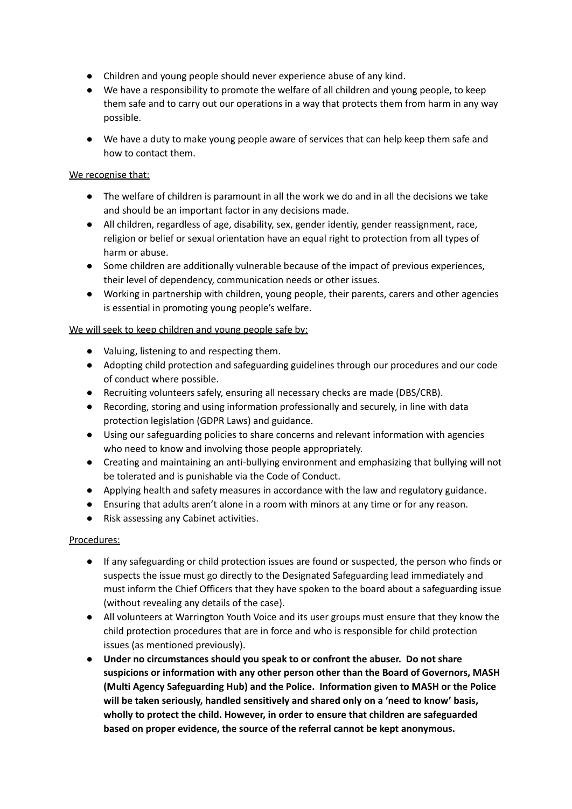- Children and young people should never experience abuse of any kind.
- We have a responsibility to promote the welfare of all children and young people, to keep them safe and to carry out our operations in a way that protects them from harm in any way possible.
- We have a duty to make young people aware of services that can help keep them safe and how to contact them.

# We recognise that:

- The welfare of children is paramount in all the work we do and in all the decisions we take and should be an important factor in any decisions made.
- All children, regardless of age, disability, sex, gender identiy, gender reassignment, race, religion or belief or sexual orientation have an equal right to protection from all types of harm or abuse.
- Some children are additionally vulnerable because of the impact of previous experiences, their level of dependency, communication needs or other issues.
- Working in partnership with children, young people, their parents, carers and other agencies is essential in promoting young people's welfare.

## We will seek to keep children and young people safe by:

- Valuing, listening to and respecting them.
- Adopting child protection and safeguarding guidelines through our procedures and our code of conduct where possible.
- Recruiting volunteers safely, ensuring all necessary checks are made (DBS/CRB).
- Recording, storing and using information professionally and securely, in line with data protection legislation (GDPR Laws) and guidance.
- Using our safeguarding policies to share concerns and relevant information with agencies who need to know and involving those people appropriately.
- Creating and maintaining an anti-bullying environment and emphasizing that bullying will not be tolerated and is punishable via the Code of Conduct.
- Applying health and safety measures in accordance with the law and regulatory guidance.
- Ensuring that adults aren't alone in a room with minors at any time or for any reason.
- Risk assessing any Cabinet activities.

# Procedures:

- If any safeguarding or child protection issues are found or suspected, the person who finds or suspects the issue must go directly to the Designated Safeguarding lead immediately and must inform the Chief Officers that they have spoken to the board about a safeguarding issue (without revealing any details of the case).
- All volunteers at Warrington Youth Voice and its user groups must ensure that they know the child protection procedures that are in force and who is responsible for child protection issues (as mentioned previously).
- **Under no circumstances should you speak to or confront the abuser. Do not share suspicions or information with any other person other than the Board of Governors, MASH (Multi Agency Safeguarding Hub) and the Police. Information given to MASH or the Police will be taken seriously, handled sensitively and shared only on a 'need to know' basis, wholly to protect the child. However, in order to ensure that children are safeguarded based on proper evidence, the source of the referral cannot be kept anonymous.**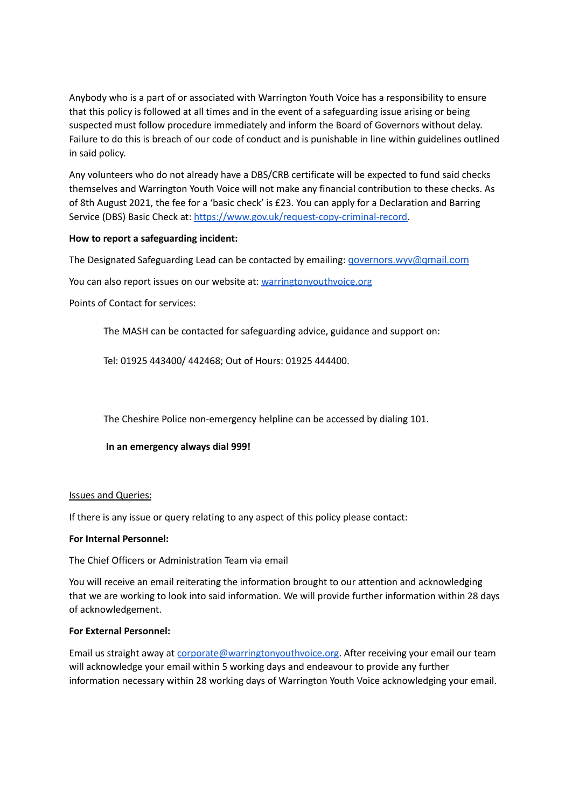Anybody who is a part of or associated with Warrington Youth Voice has a responsibility to ensure that this policy is followed at all times and in the event of a safeguarding issue arising or being suspected must follow procedure immediately and inform the Board of Governors without delay. Failure to do this is breach of our code of conduct and is punishable in line within guidelines outlined in said policy.

Any volunteers who do not already have a DBS/CRB certificate will be expected to fund said checks themselves and Warrington Youth Voice will not make any financial contribution to these checks. As of 8th August 2021, the fee for a 'basic check' is £23. You can apply for a Declaration and Barring Service (DBS) Basic Check at: [https://www.gov.uk/request-copy-criminal-record.](https://www.gov.uk/request-copy-criminal-record)

## **How to report a safeguarding incident:**

The Designated Safeguarding Lead can be contacted by emailing: [governors.wyv@gmail.com](mailto:governors.wyv@gmail.com)

You can also report issues on our website at: [warringtonyouthvoice.org](https://www.warringtonyouthvoice.org/)

Points of Contact for services:

The MASH can be contacted for safeguarding advice, guidance and support on:

Tel: 01925 443400/ 442468; Out of Hours: 01925 444400.

The Cheshire Police non-emergency helpline can be accessed by dialing 101.

### **In an emergency always dial 999!**

### Issues and Queries:

If there is any issue or query relating to any aspect of this policy please contact:

### **For Internal Personnel:**

The Chief Officers or Administration Team via email

You will receive an email reiterating the information brought to our attention and acknowledging that we are working to look into said information. We will provide further information within 28 days of acknowledgement.

### **For External Personnel:**

Email us straight away at [corporate@warringtonyouthvoice.org](mailto:corporate@warringtonyouthvoice.org). After receiving your email our team will acknowledge your email within 5 working days and endeavour to provide any further information necessary within 28 working days of Warrington Youth Voice acknowledging your email.